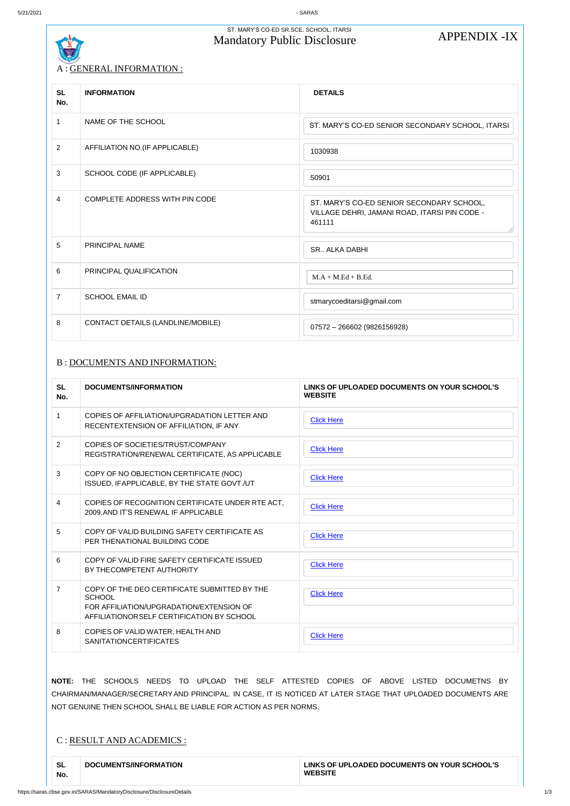# ST. MARY'S CO-ED SR.SCE. SCHOOL, ITARSI MARYS CO-ED SR.SCE. SCHOOL, ITARSI<br>Mandatory Public Disclosure APPENDIX -IX

# A : GENERAL INFORMATION :

## B : DOCUMENTS AND INFORMATION:

| C : RESULT AND ACADEMICS :                                       |                                                                                                             |
|------------------------------------------------------------------|-------------------------------------------------------------------------------------------------------------|
| NOT GENUINE THEN SCHOOL SHALL BE LIABLE FOR ACTION AS PER NORMS. |                                                                                                             |
|                                                                  | CHAIRMAN/MANAGER/SECRETARY AND PRINCIPAL. IN CASE, IT IS NOTICED AT LATER STAGE THAT UPLOADED DOCUMENTS ARE |
|                                                                  | NOTE: THE SCHOOLS NEEDS TO UPLOAD THE SELF ATTESTED COPIES OF ABOVE LISTED<br>DOCUMETNS BY                  |
|                                                                  |                                                                                                             |

| <b>SL</b><br>No. | <b>INFORMATION</b>                    | <b>DETAILS</b>                                                                                       |
|------------------|---------------------------------------|------------------------------------------------------------------------------------------------------|
| $\mathbf{1}$     | NAME OF THE SCHOOL                    | ST. MARY'S CO-ED SENIOR SECONDARY SCHOOL, ITARSI                                                     |
| $\overline{2}$   | AFFILIATION NO. (IF APPLICABLE)       | 1030938                                                                                              |
| 3                | SCHOOL CODE (IF APPLICABLE)           | 50901                                                                                                |
| $\overline{4}$   | <b>COMPLETE ADDRESS WITH PIN CODE</b> | ST. MARY'S CO-ED SENIOR SECONDARY SCHOOL,<br>VILLAGE DEHRI, JAMANI ROAD, ITARSI PIN CODE -<br>461111 |
| 5                | PRINCIPAL NAME                        | <b>SR., ALKA DABHI</b>                                                                               |
| 6                | PRINCIPAL QUALIFICATION               | $M.A + M.Ed + B.Ed.$                                                                                 |
| $\overline{7}$   | <b>SCHOOL EMAIL ID</b>                | stmarycoeditarsi@gmail.com                                                                           |
| 8                | CONTACT DETAILS (LANDLINE/MOBILE)     | 07572 - 266602 (9826156928)                                                                          |

| <b>SL</b><br>No. | <b>DOCUMENTS/INFORMATION</b>                                                                              | LINKS OF UPLOADED DOCUMENTS ON YOUR SCHOOL'S<br><b>WEBSITE</b> |
|------------------|-----------------------------------------------------------------------------------------------------------|----------------------------------------------------------------|
|                  | COPIES OF AFFILIATION/UPGRADATION LETTER AND<br>RECENTEXTENSION OF AFFILIATION, IF ANY                    | <b>Click Here</b>                                              |
| 2                | COPIES OF SOCIETIES/TRUST/COMPANY<br>REGISTRATION/RENEWAL CERTIFICATE, AS APPLICABLE                      | <b>Click Here</b>                                              |
| 3                | COPY OF NO OBJECTION CERTIFICATE (NOC)<br>ISSUED, IFAPPLICABLE, BY THE STATE GOVT./UT                     | <b>Click Here</b>                                              |
| 4                | COPIES OF RECOGNITION CERTIFICATE UNDER RTE ACT,<br>2009, AND IT'S RENEWAL IF APPLICABLE                  | <b>Click Here</b>                                              |
| 5                | COPY OF VALID BUILDING SAFETY CERTIFICATE AS<br>PER THENATIONAL BUILDING CODE                             | <b>Click Here</b>                                              |
| 6                | COPY OF VALID FIRE SAFETY CERTIFICATE ISSUED<br>BY THECOMPETENT AUTHORITY                                 | <b>Click Here</b>                                              |
| $\overline{7}$   | COPY OF THE DEO CERTIFICATE SUBMITTED BY THE<br><b>SCHOOL</b><br>FOR AFFILIATION/UPGRADATION/EXTENSION OF | <b>Click Here</b>                                              |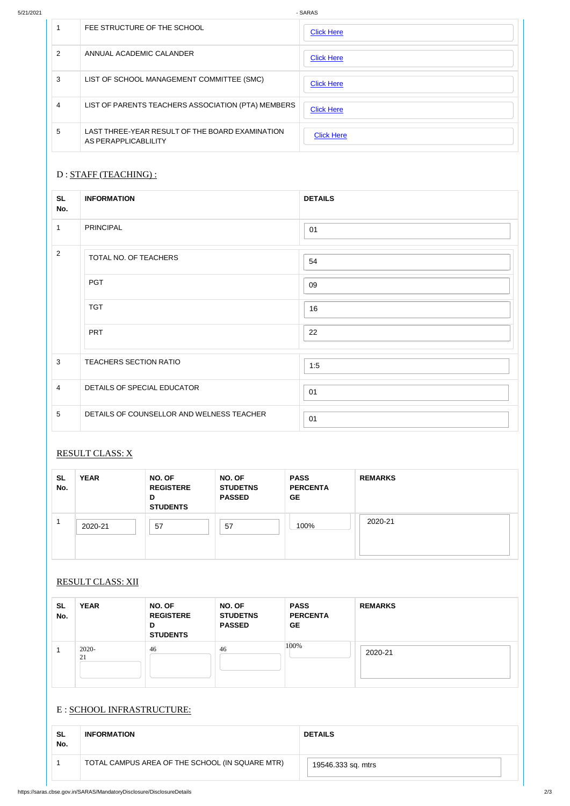|               | FEE STRUCTURE OF THE SCHOOL                                             | <b>Click Here</b> |
|---------------|-------------------------------------------------------------------------|-------------------|
| $\mathcal{P}$ | ANNUAL ACADEMIC CALANDER                                                | <b>Click Here</b> |
| 3             | LIST OF SCHOOL MANAGEMENT COMMITTEE (SMC)                               | <b>Click Here</b> |
| 4             | LIST OF PARENTS TEACHERS ASSOCIATION (PTA) MEMBERS                      | <b>Click Here</b> |
| 5             | LAST THREE-YEAR RESULT OF THE BOARD EXAMINATION<br>AS PERAPPLICABLILITY | <b>Click Here</b> |

### D : STAFF (TEACHING) :

## RESULT CLASS: X

## RESULT CLASS: XII

| $\sim$<br>- | ΆR<br>$\mathbf{v}$ | OF<br>NΩ | ΩF<br>NO. | <b>SACC</b><br>. | DEMADKS<br>* - M A * * * |
|-------------|--------------------|----------|-----------|------------------|--------------------------|

| <b>SL</b><br>No. | <b>INFORMATION</b>                        | <b>DETAILS</b> |
|------------------|-------------------------------------------|----------------|
| $\mathbf{1}$     | <b>PRINCIPAL</b>                          | 01             |
| $\overline{2}$   | TOTAL NO. OF TEACHERS                     | 54             |
|                  | <b>PGT</b>                                | 09             |
|                  | <b>TGT</b>                                | 16             |
|                  | <b>PRT</b>                                | 22             |
| $\mathbf{3}$     | TEACHERS SECTION RATIO                    | 1:5            |
| $\overline{4}$   | DETAILS OF SPECIAL EDUCATOR               | 01             |
| $\overline{5}$   | DETAILS OF COUNSELLOR AND WELNESS TEACHER | 01             |

| <b>SL</b><br>No. | <b>YEAR</b> | NO. OF<br><b>REGISTERE</b><br>D<br><b>STUDENTS</b> | <b>NO. OF</b><br><b>STUDETNS</b><br><b>PASSED</b> | <b>PASS</b><br><b>PERCENTA</b><br><b>GE</b> | <b>REMARKS</b> |
|------------------|-------------|----------------------------------------------------|---------------------------------------------------|---------------------------------------------|----------------|
|                  | 2020-21     | 57                                                 | 57                                                | 100%                                        | 2020-21        |

### E : SCHOOL INFRASTRUCTURE:

| ◡<br>No. | ILAN        | חט. טוו<br><b>REGISTERE</b><br>D<br><b>STUDENTS</b> | דש ויט<br><b>STUDETNS</b><br><b>PASSED</b> | глоо<br><b>PERCENTA</b><br><b>GE</b> | <b>NEIVIANNO</b> |
|----------|-------------|-----------------------------------------------------|--------------------------------------------|--------------------------------------|------------------|
|          | 2020-<br>21 | 46                                                  | 46                                         | 100%                                 | 2020-21          |

| <b>SL</b><br>No. | <b>INFORMATION</b>                              | <b>DETAILS</b>     |
|------------------|-------------------------------------------------|--------------------|
|                  | TOTAL CAMPUS AREA OF THE SCHOOL (IN SQUARE MTR) | 19546.333 sq. mtrs |